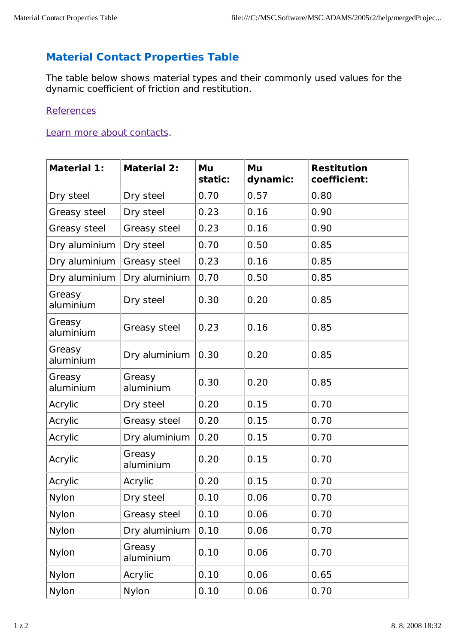## **Material Contact Properties Table**

The table below shows material types and their commonly used values for the dynamic coefficient of friction and restitution.

## **References**

## Learn more about contacts.

| <b>Material 1:</b>  | <b>Material 2:</b>  | Mu<br>static: | Mu<br>dynamic: | <b>Restitution</b><br>coefficient: |
|---------------------|---------------------|---------------|----------------|------------------------------------|
| Dry steel           | Dry steel           | 0.70          | 0.57           | 0.80                               |
| <b>Greasy steel</b> | Dry steel           | 0.23          | 0.16           | 0.90                               |
| <b>Greasy steel</b> | <b>Greasy steel</b> | 0.23          | 0.16           | 0.90                               |
| Dry aluminium       | Dry steel           | 0.70          | 0.50           | 0.85                               |
| Dry aluminium       | <b>Greasy steel</b> | 0.23          | 0.16           | 0.85                               |
| Dry aluminium       | Dry aluminium       | 0.70          | 0.50           | 0.85                               |
| Greasy<br>aluminium | Dry steel           | 0.30          | 0.20           | 0.85                               |
| Greasy<br>aluminium | <b>Greasy steel</b> | 0.23          | 0.16           | 0.85                               |
| Greasy<br>aluminium | Dry aluminium       | 0.30          | 0.20           | 0.85                               |
| Greasy<br>aluminium | Greasy<br>aluminium | 0.30          | 0.20           | 0.85                               |
| <b>Acrylic</b>      | Dry steel           | 0.20          | 0.15           | 0.70                               |
| <b>Acrylic</b>      | <b>Greasy steel</b> | 0.20          | 0.15           | 0.70                               |
| <b>Acrylic</b>      | Dry aluminium       | 0.20          | 0.15           | 0.70                               |
| <b>Acrylic</b>      | Greasy<br>aluminium | 0.20          | 0.15           | 0.70                               |
| <b>Acrylic</b>      | <b>Acrylic</b>      | 0.20          | 0.15           | 0.70                               |
| <b>Nylon</b>        | Dry steel           | 0.10          | 0.06           | 0.70                               |
| <b>Nylon</b>        | <b>Greasy steel</b> | 0.10          | 0.06           | 0.70                               |
| <b>Nylon</b>        | Dry aluminium       | 0.10          | 0.06           | 0.70                               |
| <b>Nylon</b>        | Greasy<br>aluminium | 0.10          | 0.06           | 0.70                               |
| <b>Nylon</b>        | <b>Acrylic</b>      | 0.10          | 0.06           | 0.65                               |
| <b>Nylon</b>        | <b>Nylon</b>        | 0.10          | 0.06           | 0.70                               |